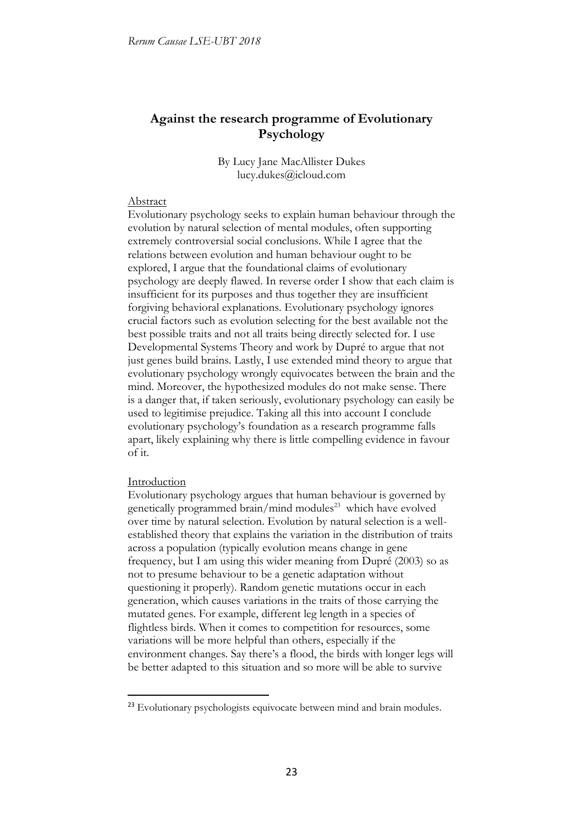# **Against the research programme of Evolutionary Psychology**

By Lucy Jane MacAllister Dukes lucy.dukes@icloud.com

#### Abstract

Evolutionary psychology seeks to explain human behaviour through the evolution by natural selection of mental modules, often supporting extremely controversial social conclusions. While I agree that the relations between evolution and human behaviour ought to be explored, I argue that the foundational claims of evolutionary psychology are deeply flawed. In reverse order I show that each claim is insufficient for its purposes and thus together they are insufficient forgiving behavioral explanations. Evolutionary psychology ignores crucial factors such as evolution selecting for the best available not the best possible traits and not all traits being directly selected for. I use Developmental Systems Theory and work by Dupré to argue that not just genes build brains. Lastly, I use extended mind theory to argue that evolutionary psychology wrongly equivocates between the brain and the mind. Moreover, the hypothesized modules do not make sense. There is a danger that, if taken seriously, evolutionary psychology can easily be used to legitimise prejudice. Taking all this into account I conclude evolutionary psychology's foundation as a research programme falls apart, likely explaining why there is little compelling evidence in favour of it.

### Introduction

-

Evolutionary psychology argues that human behaviour is governed by genetically programmed brain/mind modules<sup>23</sup> which have evolved over time by natural selection. Evolution by natural selection is a wellestablished theory that explains the variation in the distribution of traits across a population (typically evolution means change in gene frequency, but I am using this wider meaning from Dupré (2003) so as not to presume behaviour to be a genetic adaptation without questioning it properly). Random genetic mutations occur in each generation, which causes variations in the traits of those carrying the mutated genes. For example, different leg length in a species of flightless birds. When it comes to competition for resources, some variations will be more helpful than others, especially if the environment changes. Say there's a flood, the birds with longer legs will be better adapted to this situation and so more will be able to survive

<sup>&</sup>lt;sup>23</sup> Evolutionary psychologists equivocate between mind and brain modules.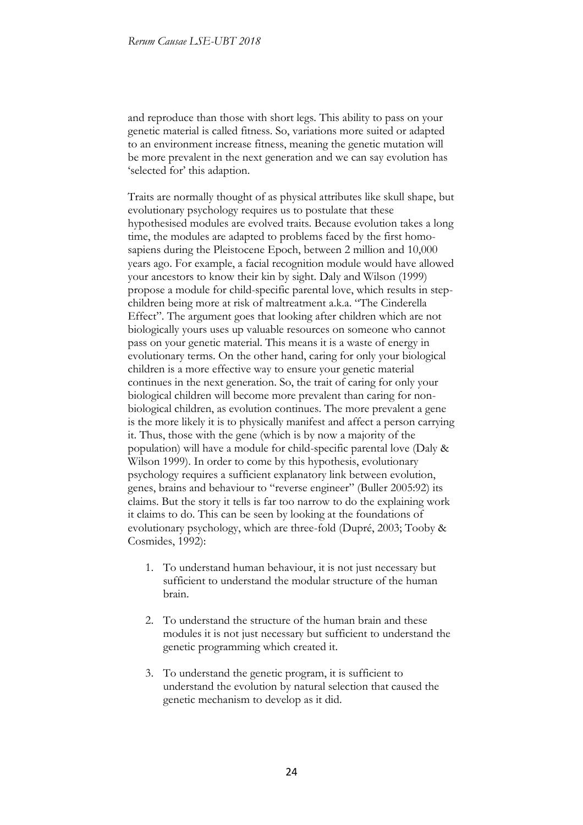and reproduce than those with short legs. This ability to pass on your genetic material is called fitness. So, variations more suited or adapted to an environment increase fitness, meaning the genetic mutation will be more prevalent in the next generation and we can say evolution has 'selected for' this adaption.

Traits are normally thought of as physical attributes like skull shape, but evolutionary psychology requires us to postulate that these hypothesised modules are evolved traits. Because evolution takes a long time, the modules are adapted to problems faced by the first homosapiens during the Pleistocene Epoch, between 2 million and 10,000 years ago. For example, a facial recognition module would have allowed your ancestors to know their kin by sight. Daly and Wilson (1999) propose a module for child-specific parental love, which results in stepchildren being more at risk of maltreatment a.k.a. "The Cinderella Effect". The argument goes that looking after children which are not biologically yours uses up valuable resources on someone who cannot pass on your genetic material. This means it is a waste of energy in evolutionary terms. On the other hand, caring for only your biological children is a more effective way to ensure your genetic material continues in the next generation. So, the trait of caring for only your biological children will become more prevalent than caring for nonbiological children, as evolution continues. The more prevalent a gene is the more likely it is to physically manifest and affect a person carrying it. Thus, those with the gene (which is by now a majority of the population) will have a module for child-specific parental love (Daly & Wilson 1999). In order to come by this hypothesis, evolutionary psychology requires a sufficient explanatory link between evolution, genes, brains and behaviour to "reverse engineer" (Buller 2005:92) its claims. But the story it tells is far too narrow to do the explaining work it claims to do. This can be seen by looking at the foundations of evolutionary psychology, which are three-fold (Dupré, 2003; Tooby & Cosmides, 1992):

- 1. To understand human behaviour, it is not just necessary but sufficient to understand the modular structure of the human brain.
- 2. To understand the structure of the human brain and these modules it is not just necessary but sufficient to understand the genetic programming which created it.
- 3. To understand the genetic program, it is sufficient to understand the evolution by natural selection that caused the genetic mechanism to develop as it did.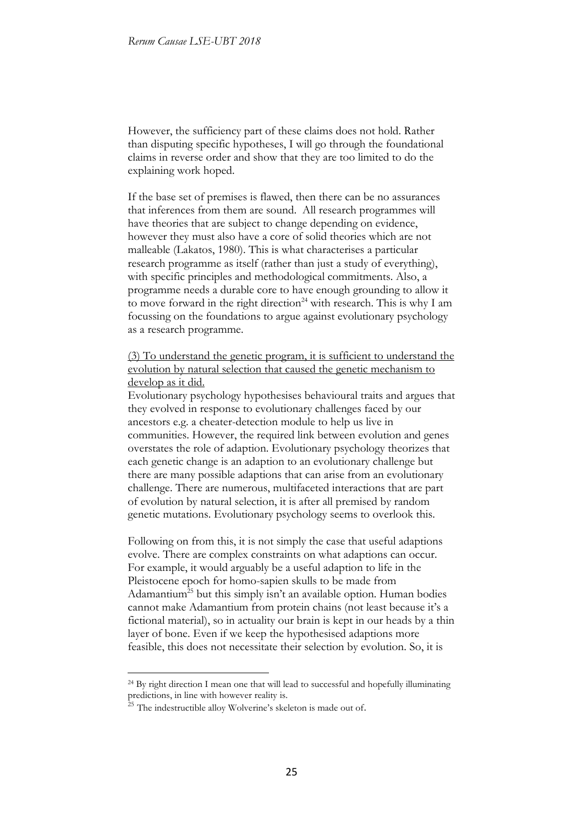However, the sufficiency part of these claims does not hold. Rather than disputing specific hypotheses, I will go through the foundational claims in reverse order and show that they are too limited to do the explaining work hoped.

If the base set of premises is flawed, then there can be no assurances that inferences from them are sound. All research programmes will have theories that are subject to change depending on evidence, however they must also have a core of solid theories which are not malleable (Lakatos, 1980). This is what characterises a particular research programme as itself (rather than just a study of everything), with specific principles and methodological commitments. Also, a programme needs a durable core to have enough grounding to allow it to move forward in the right direction<sup>24</sup> with research. This is why I am focussing on the foundations to argue against evolutionary psychology as a research programme.

(3) To understand the genetic program, it is sufficient to understand the evolution by natural selection that caused the genetic mechanism to develop as it did.

Evolutionary psychology hypothesises behavioural traits and argues that they evolved in response to evolutionary challenges faced by our ancestors e.g. a cheater-detection module to help us live in communities. However, the required link between evolution and genes overstates the role of adaption. Evolutionary psychology theorizes that each genetic change is an adaption to an evolutionary challenge but there are many possible adaptions that can arise from an evolutionary challenge. There are numerous, multifaceted interactions that are part of evolution by natural selection, it is after all premised by random genetic mutations. Evolutionary psychology seems to overlook this.

Following on from this, it is not simply the case that useful adaptions evolve. There are complex constraints on what adaptions can occur. For example, it would arguably be a useful adaption to life in the Pleistocene epoch for homo-sapien skulls to be made from Adamantium<sup>25</sup> but this simply isn't an available option. Human bodies cannot make Adamantium from protein chains (not least because it's a fictional material), so in actuality our brain is kept in our heads by a thin layer of bone. Even if we keep the hypothesised adaptions more feasible, this does not necessitate their selection by evolution. So, it is

<sup>24</sup> By right direction I mean one that will lead to successful and hopefully illuminating predictions, in line with however reality is.

<sup>&</sup>lt;sup>25</sup> The indestructible alloy Wolverine's skeleton is made out of.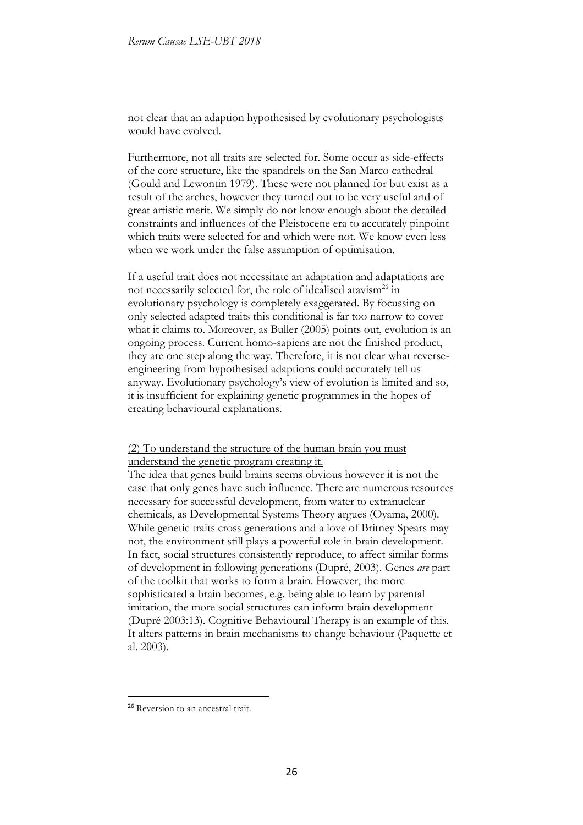not clear that an adaption hypothesised by evolutionary psychologists would have evolved.

Furthermore, not all traits are selected for. Some occur as side-effects of the core structure, like the spandrels on the San Marco cathedral (Gould and Lewontin 1979). These were not planned for but exist as a result of the arches, however they turned out to be very useful and of great artistic merit. We simply do not know enough about the detailed constraints and influences of the Pleistocene era to accurately pinpoint which traits were selected for and which were not. We know even less when we work under the false assumption of optimisation.

If a useful trait does not necessitate an adaptation and adaptations are not necessarily selected for, the role of idealised atavism<sup>26</sup> in evolutionary psychology is completely exaggerated. By focussing on only selected adapted traits this conditional is far too narrow to cover what it claims to. Moreover, as Buller (2005) points out, evolution is an ongoing process. Current homo-sapiens are not the finished product, they are one step along the way. Therefore, it is not clear what reverseengineering from hypothesised adaptions could accurately tell us anyway. Evolutionary psychology's view of evolution is limited and so, it is insufficient for explaining genetic programmes in the hopes of creating behavioural explanations.

(2) To understand the structure of the human brain you must understand the genetic program creating it.

The idea that genes build brains seems obvious however it is not the case that only genes have such influence. There are numerous resources necessary for successful development, from water to extranuclear chemicals, as Developmental Systems Theory argues (Oyama, 2000). While genetic traits cross generations and a love of Britney Spears may not, the environment still plays a powerful role in brain development. In fact, social structures consistently reproduce, to affect similar forms of development in following generations (Dupré, 2003). Genes *are* part of the toolkit that works to form a brain. However, the more sophisticated a brain becomes, e.g. being able to learn by parental imitation, the more social structures can inform brain development (Dupré 2003:13). Cognitive Behavioural Therapy is an example of this. It alters patterns in brain mechanisms to change behaviour (Paquette et al. 2003).

<sup>&</sup>lt;sup>26</sup> Reversion to an ancestral trait.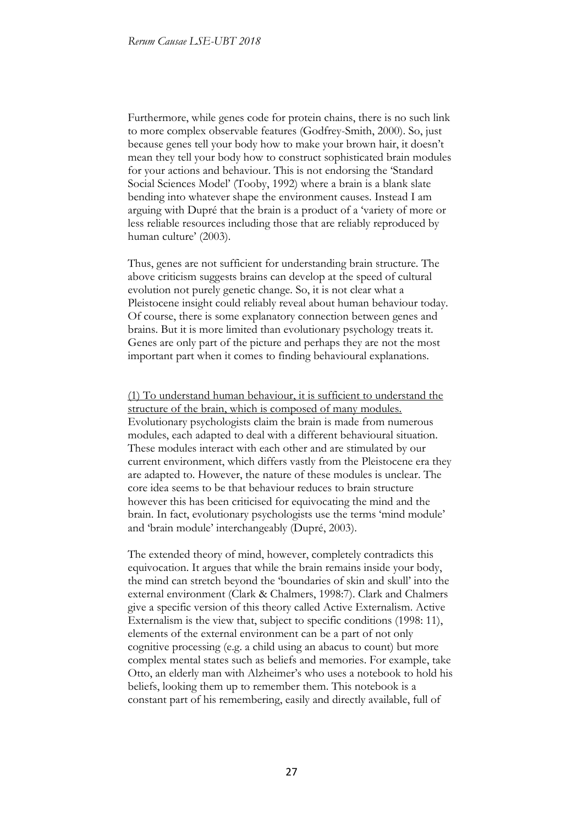Furthermore, while genes code for protein chains, there is no such link to more complex observable features (Godfrey-Smith, 2000). So, just because genes tell your body how to make your brown hair, it doesn't mean they tell your body how to construct sophisticated brain modules for your actions and behaviour. This is not endorsing the 'Standard Social Sciences Model' (Tooby, 1992) where a brain is a blank slate bending into whatever shape the environment causes. Instead I am arguing with Dupré that the brain is a product of a 'variety of more or less reliable resources including those that are reliably reproduced by human culture' (2003).

Thus, genes are not sufficient for understanding brain structure. The above criticism suggests brains can develop at the speed of cultural evolution not purely genetic change. So, it is not clear what a Pleistocene insight could reliably reveal about human behaviour today. Of course, there is some explanatory connection between genes and brains. But it is more limited than evolutionary psychology treats it. Genes are only part of the picture and perhaps they are not the most important part when it comes to finding behavioural explanations.

(1) To understand human behaviour, it is sufficient to understand the structure of the brain, which is composed of many modules. Evolutionary psychologists claim the brain is made from numerous modules, each adapted to deal with a different behavioural situation. These modules interact with each other and are stimulated by our current environment, which differs vastly from the Pleistocene era they are adapted to. However, the nature of these modules is unclear. The core idea seems to be that behaviour reduces to brain structure however this has been criticised for equivocating the mind and the brain. In fact, evolutionary psychologists use the terms 'mind module' and 'brain module' interchangeably (Dupré, 2003).

The extended theory of mind, however, completely contradicts this equivocation. It argues that while the brain remains inside your body, the mind can stretch beyond the 'boundaries of skin and skull' into the external environment (Clark & Chalmers, 1998:7). Clark and Chalmers give a specific version of this theory called Active Externalism. Active Externalism is the view that, subject to specific conditions (1998: 11), elements of the external environment can be a part of not only cognitive processing (e.g. a child using an abacus to count) but more complex mental states such as beliefs and memories. For example, take Otto, an elderly man with Alzheimer's who uses a notebook to hold his beliefs, looking them up to remember them. This notebook is a constant part of his remembering, easily and directly available, full of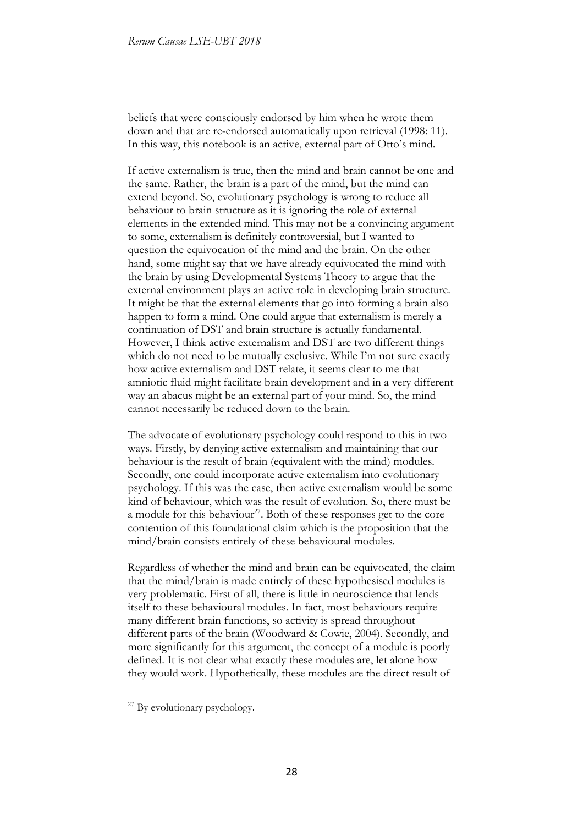beliefs that were consciously endorsed by him when he wrote them down and that are re-endorsed automatically upon retrieval (1998: 11). In this way, this notebook is an active, external part of Otto's mind.

If active externalism is true, then the mind and brain cannot be one and the same. Rather, the brain is a part of the mind, but the mind can extend beyond. So, evolutionary psychology is wrong to reduce all behaviour to brain structure as it is ignoring the role of external elements in the extended mind. This may not be a convincing argument to some, externalism is definitely controversial, but I wanted to question the equivocation of the mind and the brain. On the other hand, some might say that we have already equivocated the mind with the brain by using Developmental Systems Theory to argue that the external environment plays an active role in developing brain structure. It might be that the external elements that go into forming a brain also happen to form a mind. One could argue that externalism is merely a continuation of DST and brain structure is actually fundamental. However, I think active externalism and DST are two different things which do not need to be mutually exclusive. While I'm not sure exactly how active externalism and DST relate, it seems clear to me that amniotic fluid might facilitate brain development and in a very different way an abacus might be an external part of your mind. So, the mind cannot necessarily be reduced down to the brain.

The advocate of evolutionary psychology could respond to this in two ways. Firstly, by denying active externalism and maintaining that our behaviour is the result of brain (equivalent with the mind) modules. Secondly, one could incorporate active externalism into evolutionary psychology. If this was the case, then active externalism would be some kind of behaviour, which was the result of evolution. So, there must be a module for this behaviour<sup>27</sup>. Both of these responses get to the core contention of this foundational claim which is the proposition that the mind/brain consists entirely of these behavioural modules.

Regardless of whether the mind and brain can be equivocated, the claim that the mind/brain is made entirely of these hypothesised modules is very problematic. First of all, there is little in neuroscience that lends itself to these behavioural modules. In fact, most behaviours require many different brain functions, so activity is spread throughout different parts of the brain (Woodward & Cowie, 2004). Secondly, and more significantly for this argument, the concept of a module is poorly defined. It is not clear what exactly these modules are, let alone how they would work. Hypothetically, these modules are the direct result of

<sup>&</sup>lt;sup>27</sup> By evolutionary psychology.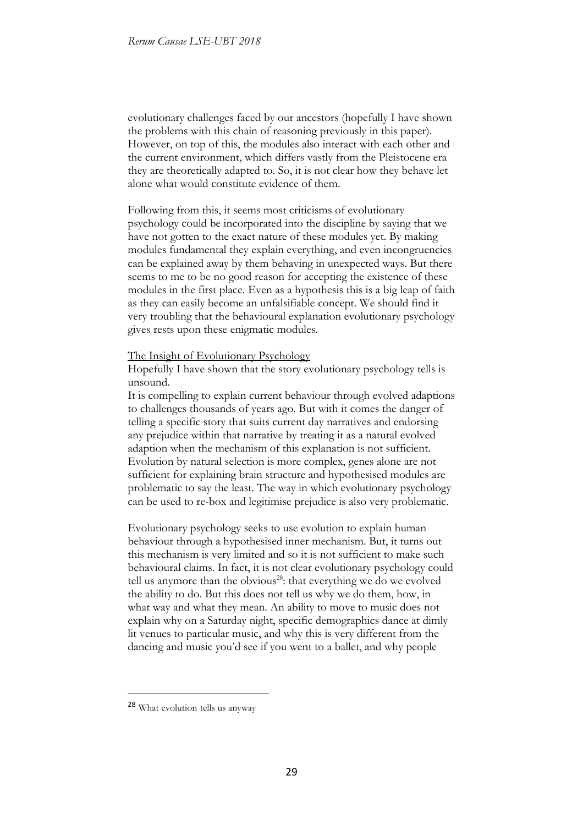evolutionary challenges faced by our ancestors (hopefully I have shown the problems with this chain of reasoning previously in this paper). However, on top of this, the modules also interact with each other and the current environment, which differs vastly from the Pleistocene era they are theoretically adapted to. So, it is not clear how they behave let alone what would constitute evidence of them.

Following from this, it seems most criticisms of evolutionary psychology could be incorporated into the discipline by saying that we have not gotten to the exact nature of these modules yet. By making modules fundamental they explain everything, and even incongruencies can be explained away by them behaving in unexpected ways. But there seems to me to be no good reason for accepting the existence of these modules in the first place. Even as a hypothesis this is a big leap of faith as they can easily become an unfalsifiable concept. We should find it very troubling that the behavioural explanation evolutionary psychology gives rests upon these enigmatic modules.

The Insight of Evolutionary Psychology

Hopefully I have shown that the story evolutionary psychology tells is unsound.

It is compelling to explain current behaviour through evolved adaptions to challenges thousands of years ago. But with it comes the danger of telling a specific story that suits current day narratives and endorsing any prejudice within that narrative by treating it as a natural evolved adaption when the mechanism of this explanation is not sufficient. Evolution by natural selection is more complex, genes alone are not sufficient for explaining brain structure and hypothesised modules are problematic to say the least. The way in which evolutionary psychology can be used to re-box and legitimise prejudice is also very problematic.

Evolutionary psychology seeks to use evolution to explain human behaviour through a hypothesised inner mechanism. But, it turns out this mechanism is very limited and so it is not sufficient to make such behavioural claims. In fact, it is not clear evolutionary psychology could tell us anymore than the obvious<sup>28</sup>: that everything we do we evolved the ability to do. But this does not tell us why we do them, how, in what way and what they mean. An ability to move to music does not explain why on a Saturday night, specific demographics dance at dimly lit venues to particular music, and why this is very different from the dancing and music you'd see if you went to a ballet, and why people

<sup>28</sup> What evolution tells us anyway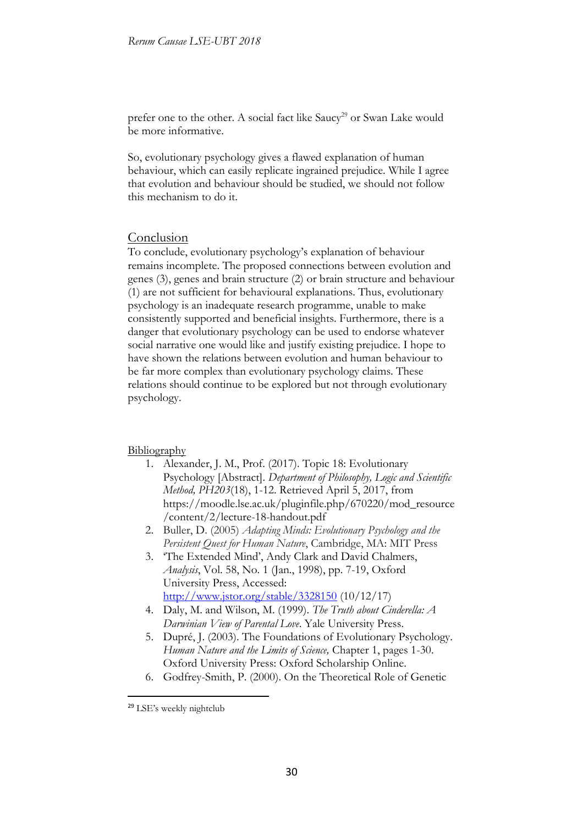prefer one to the other. A social fact like Saucy<sup>29</sup> or Swan Lake would be more informative.

So, evolutionary psychology gives a flawed explanation of human behaviour, which can easily replicate ingrained prejudice. While I agree that evolution and behaviour should be studied, we should not follow this mechanism to do it.

## **Conclusion**

To conclude, evolutionary psychology's explanation of behaviour remains incomplete. The proposed connections between evolution and genes (3), genes and brain structure (2) or brain structure and behaviour (1) are not sufficient for behavioural explanations. Thus, evolutionary psychology is an inadequate research programme, unable to make consistently supported and beneficial insights. Furthermore, there is a danger that evolutionary psychology can be used to endorse whatever social narrative one would like and justify existing prejudice. I hope to have shown the relations between evolution and human behaviour to be far more complex than evolutionary psychology claims. These relations should continue to be explored but not through evolutionary psychology.

### **Bibliography**

- 1. Alexander, J. M., Prof. (2017). Topic 18: Evolutionary Psychology [Abstract]. *Department of Philosophy, Logic and Scientific Method, PH203*(18), 1-12. Retrieved April 5, 2017, from https://moodle.lse.ac.uk/pluginfile.php/670220/mod\_resource /content/2/lecture-18-handout.pdf
- 2. Buller, D. (2005) *Adapting Minds: Evolutionary Psychology and the Persistent Quest for Human Nature*, Cambridge, MA: MIT Press
- 3. 'The Extended Mind', Andy Clark and David Chalmers, *Analysis*, Vol. 58, No. 1 (Jan., 1998), pp. 7-19, Oxford University Press, Accessed: http://www.jstor.org/stable/3328150 (10/12/17)
- 4. Daly, M. and Wilson, M. (1999). *The Truth about Cinderella: A Darwinian View of Parental Love*. Yale University Press.
- 5. Dupré, J. (2003). The Foundations of Evolutionary Psychology. *Human Nature and the Limits of Science,* Chapter 1, pages 1-30. Oxford University Press: Oxford Scholarship Online.
- 6. Godfrey-Smith, P. (2000). On the Theoretical Role of Genetic

<sup>&</sup>lt;sup>29</sup> LSE's weekly nightclub